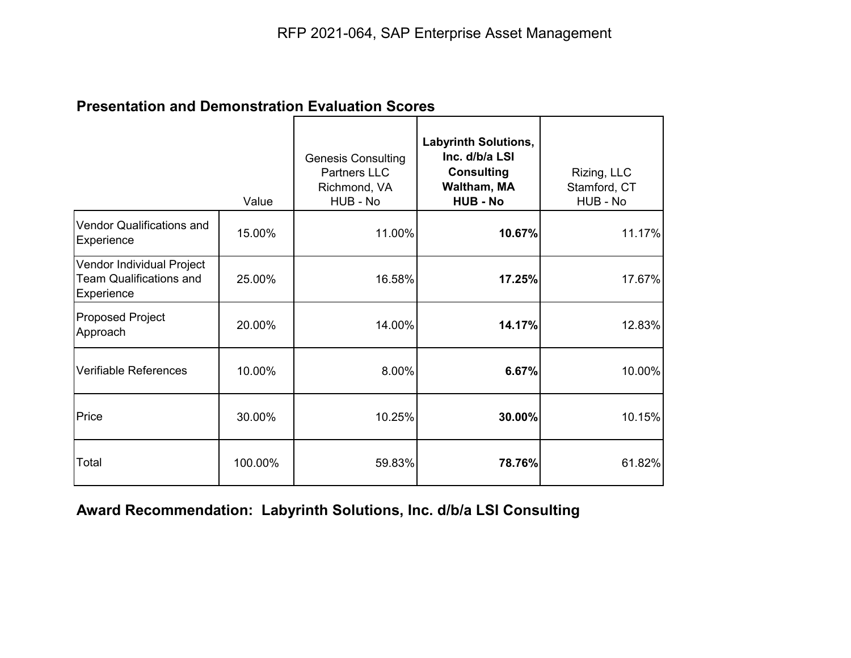## **Presentation and Demonstration Evaluation Scores**

|                                                                           | Value   | <b>Genesis Consulting</b><br>Partners LLC<br>Richmond, VA<br>HUB - No | <b>Labyrinth Solutions,</b><br>Inc. d/b/a LSI<br><b>Consulting</b><br>Waltham, MA<br><b>HUB - No</b> | Rizing, LLC<br>Stamford, CT<br>HUB - No |
|---------------------------------------------------------------------------|---------|-----------------------------------------------------------------------|------------------------------------------------------------------------------------------------------|-----------------------------------------|
| Vendor Qualifications and<br>Experience                                   | 15.00%  | 11.00%                                                                | 10.67%                                                                                               | 11.17%                                  |
| Vendor Individual Project<br><b>Team Qualifications and</b><br>Experience | 25.00%  | 16.58%                                                                | 17.25%                                                                                               | 17.67%                                  |
| <b>Proposed Project</b><br>Approach                                       | 20.00%  | 14.00%                                                                | 14.17%                                                                                               | 12.83%                                  |
| <b>Verifiable References</b>                                              | 10.00%  | 8.00%                                                                 | 6.67%                                                                                                | 10.00%                                  |
| Price                                                                     | 30.00%  | 10.25%                                                                | 30.00%                                                                                               | 10.15%                                  |
| Total                                                                     | 100.00% | 59.83%                                                                | 78.76%                                                                                               | 61.82%                                  |

**Award Recommendation: Labyrinth Solutions, Inc. d/b/a LSI Consulting**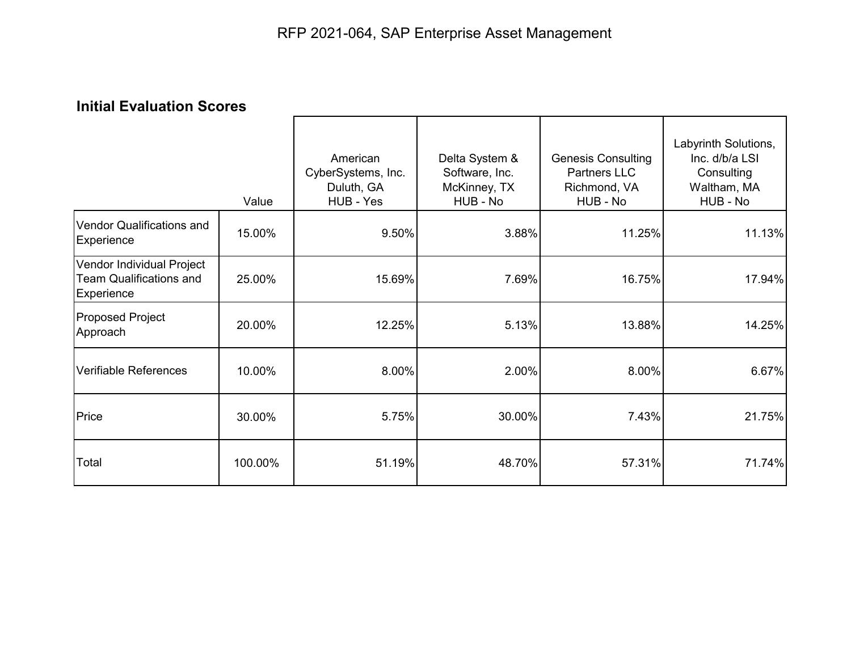## **Initial Evaluation Scores**

|                                                                           | Value   | American<br>CyberSystems, Inc.<br>Duluth, GA<br>HUB - Yes | Delta System &<br>Software, Inc.<br>McKinney, TX<br>HUB - No | <b>Genesis Consulting</b><br>Partners LLC<br>Richmond, VA<br>HUB - No | Labyrinth Solutions,<br>Inc. d/b/a LSI<br>Consulting<br>Waltham, MA<br>HUB - No |
|---------------------------------------------------------------------------|---------|-----------------------------------------------------------|--------------------------------------------------------------|-----------------------------------------------------------------------|---------------------------------------------------------------------------------|
| Vendor Qualifications and<br>Experience                                   | 15.00%  | 9.50%                                                     | 3.88%                                                        | 11.25%                                                                | 11.13%                                                                          |
| Vendor Individual Project<br><b>Team Qualifications and</b><br>Experience | 25.00%  | 15.69%                                                    | 7.69%                                                        | 16.75%                                                                | 17.94%                                                                          |
| <b>Proposed Project</b><br>Approach                                       | 20.00%  | 12.25%                                                    | 5.13%                                                        | 13.88%                                                                | 14.25%                                                                          |
| Verifiable References                                                     | 10.00%  | 8.00%                                                     | 2.00%                                                        | 8.00%                                                                 | 6.67%                                                                           |
| Price                                                                     | 30.00%  | 5.75%                                                     | 30.00%                                                       | 7.43%                                                                 | 21.75%                                                                          |
| Total                                                                     | 100.00% | 51.19%                                                    | 48.70%                                                       | 57.31%                                                                | 71.74%                                                                          |